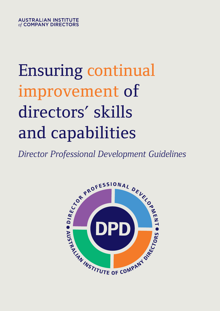# Ensuring continual improvement of directors' skills and capabilities

*Director Professional Development Guidelines*

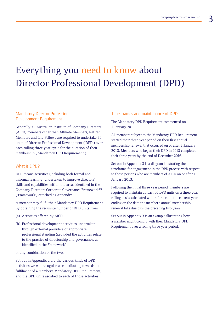### Everything you need to know about Director Professional Development (DPD)

### Mandatory Director Professional Development Requirement

Generally, all Australian Institute of Company Directors (AICD) members other than Affiliate Members, Retired Members and Life Fellows are required to undertake 60 units of Director Professional Development ('DPD') over each rolling three year cycle for the duration of their membership ('Mandatory DPD Requirement').

#### What is DPD?

DPD means activities (including both formal and informal learning) undertaken to improve directors' skills and capabilities within the areas identified in the Company Directors Corporate Governance Framework™ ('Framework') attached as Appendix 1.

A member may fulfil their Mandatory DPD Requirement by obtaining the requisite number of DPD units from:

- (a) Activities offered by AICD
- (b) Professional development activities undertaken through external providers of appropriate professional standing (provided the activities relate to the practice of directorship and governance, as identified in the Framework)

or any combination of the two.

Set out in Appendix 2 are the various kinds of DPD activities we will recognise as contributing towards the fulfilment of a member's Mandatory DPD Requirement, and the DPD units ascribed to each of those activities.

#### Time-frames and maintenance of DPD

The Mandatory DPD Requirement commenced on 1 January 2013.

All members subject to the Mandatory DPD Requirement started their three year period on their first annual membership renewal that occurred on or after 1 January 2013. Members who began their DPD in 2013 completed their three years by the end of December 2016.

Set out in Appendix 3 is a diagram illustrating the timeframe for engagement in the DPD process with respect to those persons who are members of AICD on or after 1 January 2013.

Following the initial three year period, members are required to maintain at least 60 DPD units on a three year rolling basis: calculated with reference to the current year ending on the date the member's annual membership renewal falls due plus the preceding two years.

Set out in Appendix 3 is an example illustrating how a member might comply with their Mandatory DPD Requirement over a rolling three year period.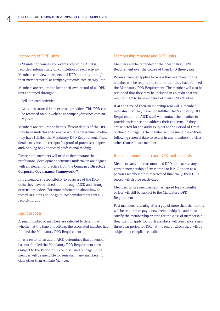#### Recording of DPD units

DPD units for courses and events offered by AICD is recorded automatically on completion of each activity. Members can view their personal DPD unit tally through their member portal at companydirectors.com.au/My-Site

Members are required to keep their own record of all DPD units obtained through:

- Self-directed activities
- Activities sourced from external providers. This DPD can be recorded on our website at companydirectors.com.au/ My-Site

Members are required to keep sufficient details of the DPD they have undertaken to enable AICD to determine whether they have fulfilled the Mandatory DPD Requirement. These details may include receipts (as proof of purchase), papers and/or a log book to record professional reading.

Please note, members will need to demonstrate the professional development activities undertaken are aligned with an element of practice from the **[Company Directors](http://www.companydirectors.com.au/director-resource-centre/corporate-governance-framework/framework)**  Corporate Governance Framework<sup>™</sup>

It is a member's responsibility to be aware of the DPD units they have attained, both through AICD and through external providers. For more information about how to record DPD units online go to companydirectors.com.au/ recordyourdpd

#### Audit process

A small number of members are selected to determine whether, at the time of auditing, the associated member has fulfilled the Mandatory DPD Requirement.

If, as a result of an audit, AICD determines that a member has not fulfilled the Mandatory DPD Requirement then (subject to the Period of Grace, discussed on page 5) the member will be ineligible for renewal in any membership class other than Affiliate Member.

#### Membership renewal and DPD units

Members will be reminded of their Mandatory DPD Requirement over the course of their DPD three years.

When a member applies to renew their membership the member will be required to confirm that they have fulfilled the Mandatory DPD Requirement. The member will also be reminded that they may be included in an audit that will require them to have evidence of their DPD activities.

If at the time of their membership renewal, a member indicates that they have not fulfilled the Mandatory DPD Requirement, an AICD staff will contact the member to provide assistance and address their concerns. If they are selected for the audit (subject to the Period of Grace, outlined on page 5) the member will be ineligible at their following renewal date to renew in any membership class other than Affiliate member.

#### Breaks in membership and DPD units records

Members carry their accumulated DPD units across any gaps in membership of six months or less. As soon as a person's membership is reactivated financially, their DPD record will also be reactivated.

Members whose membership has lapsed for six months or less will still be subject to the Mandatory DPD Requirement.

Past members returning after a gap of more than six months will be required to pay a new membership fee and must satisfy the membership criteria for the class of membership they wish to apply for. Such members will commence a new three year period for DPD, at the end of which they will be subject to a compliance audit.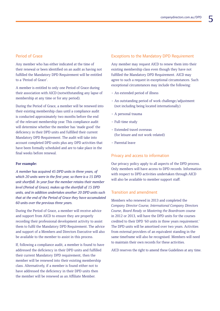#### Period of Grace

Any member who has either indicated at the time of their renewal or been identified on an audit as having not fulfilled the Mandatory DPD Requirement will be entitled to a 'Period of Grace'.

A member is entitled to only one Period of Grace during their association with AICD (notwithstanding any lapse of membership at any time or for any period).

During the Period of Grace, a member will be renewed into their existing membership class until a compliance audit is conducted approximately two months before the end of the relevant membership year. This compliance audit will determine whether the member has 'made good' the deficiency in their DPD units and fulfilled their current Mandatory DPD Requirement. The audit will take into account completed DPD units plus any DPD activities that have been formally scheduled and are to take place in the final weeks before renewal.

#### **For example:**

*A member has acquired 45 DPD units in three years, of which 20 units were in the first year, so there is a 15 DPD unit shortfall. In year four the member retains their member level (Period of Grace), makes up the shortfall of 15 DPD units, and in addition undertakes another 20 DPD units such that at the end of the Period of Grace they have accumulated 60 units over the previous three years.*

During the Period of Grace, a member will receive advice and support from AICD to ensure they are properly recording their professional development activity to assist them to fulfil the Mandatory DPD Requirement. The advice and support of a Members and Directors Executive will also be available to the member to assist in this process.

If, following a compliance audit, a member is found to have addressed the deficiency in their DPD units and fulfilled their current Mandatory DPD requirement, then the member will be renewed into their existing membership class. Alternatively, if a member is found either not to have addressed the deficiency in their DPD units then the member will be renewed as an Affiliate Member.

#### Exceptions to the Mandatory DPD Requirement

Any member may request AICD to renew them into their existing membership class even though they have not fulfilled the Mandatory DPD Requirement. AICD may agree to such a request in exceptional circumstances. Such exceptional circumstances may include the following:

- An extended period of illness
- An outstanding period of work challenge/adjustment (not including being located internationally)
- A personal trauma
- Full-time study
- Extended travel overseas (for leisure and not work-related)
- Parental leave

#### Privacy and access to information

Our privacy policy apply to all aspects of the DPD process. Only members will have access to DPD records. Information with respect to DPD activities undertaken through AICD will also be available to member support staff.

#### Transition and amendment

Members who renewed in 2013 and completed the *Company Director Course, International Company Directors Course*, *Board Ready* or *Mastering the Boardroom* course in 2012 or 2013, will have the DPD units for the courses credited to their DPD '60 units in three years requirement.' The DPD units will be amortised over two years. Activities from external providers of an equivalent standing in the same timeframe will also be recognised. Members will need to maintain their own records for these activities.

AICD reserves the right to amend these Guidelines at any time.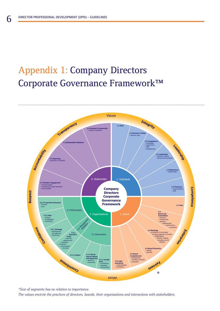### Appendix 1: Company Directors Corporate Governance Framework™



*\*Size of segments has no relation to importance.*

*The values encircle the practices of directors, boards, their organisations and interactions with stakeholders.*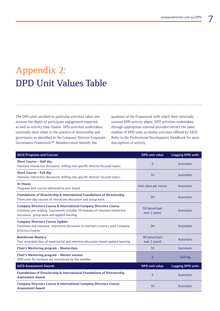### Appendix 2: DPD Unit Values Table

The DPD units ascribed to particular activities takes into account the depth of participant engagement expected, as well as activity time-frames. DPD activities undertaken externally must relate to the practice of directorship and governance as identified in the Company Director Corporate Governance Framework™. Members must identify the

quadrant of the Framework with which their externally sourced DPD activity aligns. DPD activities undertaken through appropriate external providers attract the same number of DPD units as similar activities offered by AICD. Refer to the Professional Development Handbook for more descriptions of activity.

| <b>AICD Programs and Courses</b>                                                                                                                                                                               | <b>DPD</b> unit value          | <b>Logging DPD units</b> |  |  |
|----------------------------------------------------------------------------------------------------------------------------------------------------------------------------------------------------------------|--------------------------------|--------------------------|--|--|
| <b>Short Course - Half day</b><br>Intensive interactive discussion, drilling into specific director focused topics.                                                                                            | 5                              | Automatic                |  |  |
| Short Course - Full day<br>Intensive interactive discussion, drilling into specific director focused topics.                                                                                                   | 10                             | Automatic                |  |  |
| <b>In-House</b><br>Programs and courses delivered to your board.                                                                                                                                               | Unit value per course          | Automatic                |  |  |
| <b>Foundations of Directorship &amp; International Foundations of Directorship</b><br>Three one-day courses of interactive discussion and group work.                                                          | 30                             | Automatic                |  |  |
| <b>Company Directors Course &amp; International Company Directors Course</b><br>Extensive pre-reading. Coursework includes 10 modules of intensive interactive<br>discussion, group work and applied learning. | 50 (amortised<br>over 2 years) |                          |  |  |
| <b>Company Directors Course Update</b><br>Facilitator-led intensive, interactive discussion to maintain currency post Company<br>Directors Course.                                                             | 20                             | Automatic                |  |  |
| <b>Boardroom Mastery</b><br>Four extended days of experiential and intensive discussion based applied learning.                                                                                                | 40 (amortised<br>over 2 years) | Automatic                |  |  |
| Chair's Mentoring program - Masterclass                                                                                                                                                                        | 10                             | Automatic                |  |  |
| Chair's Mentoring program - Mentor session<br>DPD units for mentees are maintained by the member.                                                                                                              | 5                              | Self-log                 |  |  |
| <b>AICD Assessment Awards</b>                                                                                                                                                                                  | <b>DPD</b> unit value          | <b>Logging DPD units</b> |  |  |
| <b>Foundations of Directorship &amp; International Foundations of Directorship</b><br><b>Assessment Award</b>                                                                                                  | 5                              | Automatic                |  |  |
| <b>Company Directors Course &amp; International Company Directors Course</b><br><b>Assessment Award</b>                                                                                                        | 10                             | Automatic                |  |  |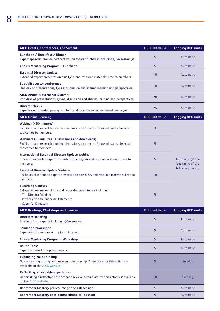| AICD Events, Conferences, and Summit                                                                                                                                                 | <b>DPD</b> unit value | <b>Logging DPD units</b>              |  |
|--------------------------------------------------------------------------------------------------------------------------------------------------------------------------------------|-----------------------|---------------------------------------|--|
| Luncheon / Breakfast / Dinner<br>Expert speakers provide perspectives on topics of interest including Q&A session(s).                                                                | 5                     | Automatic                             |  |
| Chair's Mentoring Program - Luncheon                                                                                                                                                 | 5                     | Automatic                             |  |
| <b>Essential Director Update</b><br>Extended expert presentation plus Q&A and resource materials. Free to members.                                                                   | 10                    | Automatic                             |  |
| <b>Specialist sector conference</b><br>One day of presentations, Q&As, discussion and sharing learning and perspectives.                                                             | 10                    | Automatic                             |  |
| <b>AICD Annual Governance Summit</b><br>Two days of presentations, Q&As, discussion and sharing learning and perspectives.                                                           | 20                    | Automatic                             |  |
| <b>Director Nexus</b><br>Experienced chair-led peer group topical discussion series, delivered over a year.                                                                          | 25                    | Automatic                             |  |
| <b>AICD Online Learning</b>                                                                                                                                                          | <b>DPD</b> unit value | <b>Logging DPD units</b>              |  |
| Webinar (<60 minutes)<br>Facilitator and expert-led online discussions on director-focussed issues. Selected<br>topics free to members.                                              | 3                     |                                       |  |
| Webinars (60 minutes - Discussions and downloads)<br>Facilitator and expert-led online discussions on director-focussed issues. Selected<br>topics free to members.                  | 5                     |                                       |  |
| <b>International Essential Director Update Webinar</b><br>1 hour of extended expert presentation plus Q&A and resource materials. Free to<br>members.                                | 5                     | Automatic (at the<br>beginning of the |  |
| <b>Essential Director Update Webinar</b><br>1.5 hours of extended expert presentation plus Q&A and resource materials. Free to<br>members.                                           | 10                    | following month)                      |  |
| eLearning Courses<br>Self-paced online learning and director-focussed topics including:<br>- The Director Mindset<br>- Introduction to Financial Statements<br>- Cyber for Directors | 5                     |                                       |  |
| <b>AICD Briefings, Workshops and Reviews</b>                                                                                                                                         | <b>DPD</b> unit value | <b>Logging DPD units</b>              |  |
| <b>Directors' Briefing</b><br>Briefings from experts including Q&A session.                                                                                                          | 5                     | Automatic                             |  |
| <b>Seminar or Workshop</b><br>Expert-led discussions on topics of interest.                                                                                                          | 5                     | Automatic                             |  |
| <b>Chair's Mentoring Program - Workshop</b>                                                                                                                                          | 5                     | Automatic                             |  |
| <b>Round Table</b><br>Expert-led small group discussions.                                                                                                                            | 5                     | Automatic                             |  |
| <b>Expanding Your Thinking</b><br>Guidance sought on governance and directorship. A template for this activity is<br>available on the AICD website.                                  | 5                     | Self-log                              |  |
| Reflecting on valuable experiences<br>Undertaking a reflective post-scenario review. A template for this activity is available<br>on the AICD website.                               | 10                    | Self-log                              |  |
| <b>Boardroom Mastery pre-course phone call session</b>                                                                                                                               | 5                     | Automatic                             |  |
| Boardroom Mastery post-course phone call session                                                                                                                                     | 5                     | Automatic                             |  |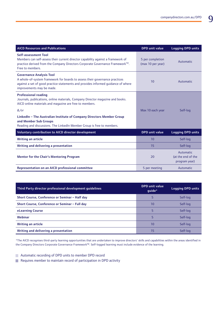| <b>AICD Resources and Publications</b>                                                                                                                                                                                           | <b>DPD</b> unit value                 | <b>Logging DPD units</b>                         |
|----------------------------------------------------------------------------------------------------------------------------------------------------------------------------------------------------------------------------------|---------------------------------------|--------------------------------------------------|
| Self-assessment Tool<br>Members can self-assess their current director capability against a framework of<br>practice derived from the Company Directors Corporate Governance Framework™.<br>Free to members.                     | 5 per completion<br>(max 10 per year) | Automatic                                        |
| <b>Governance Analysis Tool</b><br>A whole-of-system framework for boards to assess their governance practices<br>against a set of good practice statements and provides informed guidance of where<br>improvements may be made. | 10                                    | Automatic                                        |
| <b>Professional reading</b><br>Journals, publications, online materials, Company Director magazine and books.<br>AICD online materials and magazine are free to members.                                                         |                                       |                                                  |
| $&/$ or                                                                                                                                                                                                                          | Max 10 each year                      | Self-log                                         |
| LinkedIn - The Australian Institute of Company Directors Member Group<br>and Member Sub Groups<br>Reading and discussions. The LinkedIn Member Group is free to members.                                                         |                                       |                                                  |
| <b>Voluntary contribution to AICD director development</b>                                                                                                                                                                       | <b>DPD</b> unit value                 | <b>Logging DPD units</b>                         |
| <b>Writing an article</b>                                                                                                                                                                                                        | 10                                    | Self-log                                         |
| Writing and delivering a presentation                                                                                                                                                                                            | 15                                    | Self-log                                         |
| <b>Mentor for the Chair's Mentoring Program</b>                                                                                                                                                                                  | 20                                    | Automatic<br>(at the end of the<br>program year) |
| Representation on an AICD professional committee                                                                                                                                                                                 | 5 per meeting                         | Automatic                                        |

| Third Party director professional development quidelines | <b>DPD</b> unit value<br>guide* | <b>Logging DPD units</b> |
|----------------------------------------------------------|---------------------------------|--------------------------|
| Short Course, Conference or Seminar - Half day           |                                 | Self-log                 |
| Short Course, Conference or Seminar - Full day           | 10                              | Self-log                 |
| eLearning Course                                         |                                 | Self-log                 |
| Webinar                                                  |                                 | Self-log                 |
| <b>Writing an article</b>                                | 10                              | Self-log                 |
| Writing and delivering a presentation                    | 15                              | Self-log                 |

\*The AICD recognises third-party learning opportunities that are undertaken to improve directors' skills and capabilities within the areas identified in the Company Directors Corporate Governance Framework™. Self-logged learning must include evidence of the learning.

Automatic recording of DPD units to member DPD record

Requires member to maintain record of participation in DPD activity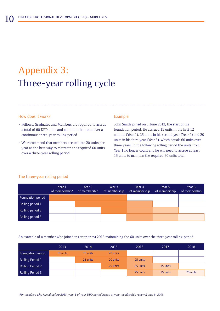## Appendix 3: Three-year rolling cycle

#### How does it work?

- Fellows, Graduates and Members are required to accrue a total of 60 DPD units and maintain that total over a continuous three-year rolling period
- We recommend that members accumulate 20 units per year as the best way to maintain the required 60 units over a three-year rolling period

#### Example

John Smith joined on 1 June 2013, the start of his foundation period. He accrued 15 units in the first 12 months (Year 1), 25 units in his second year (Year 2) and 20 units in his third year (Year 3), which equals 60 units over three years. In the following rolling period the units from Year 1 no longer count and he will need to accrue at least 15 units to maintain the required 60 units total.

#### The three-year rolling period

|                   | Year 1<br>of membership* | Year 2<br>of membership | Year 3<br>of membership | Year 4<br>of membership | Year 5<br>of membership | Year 6<br>of membership |
|-------------------|--------------------------|-------------------------|-------------------------|-------------------------|-------------------------|-------------------------|
| Foundation period |                          |                         |                         |                         |                         |                         |
| Rolling period 1  |                          |                         |                         |                         |                         |                         |
| Rolling period 2  |                          |                         |                         |                         |                         |                         |
| Rolling period 3  |                          |                         |                         |                         |                         |                         |

An example of a member who joined in (or prior to) 2013 maintaining the 60 units over the three year rolling-period:

|                          | 2013     | 2014     | 2015     | 2016     | 2017     | 2018     |
|--------------------------|----------|----------|----------|----------|----------|----------|
| <b>Foundation Period</b> | 15 units | 25 units | 20 units |          |          |          |
| Rolling Period 1         |          | 25 units | 20 units | 25 units |          |          |
| Rolling Period 2         |          |          | 20 units | 25 units | 15 units |          |
| Rolling Period 3         |          |          |          | 25 units | 15 units | 20 units |